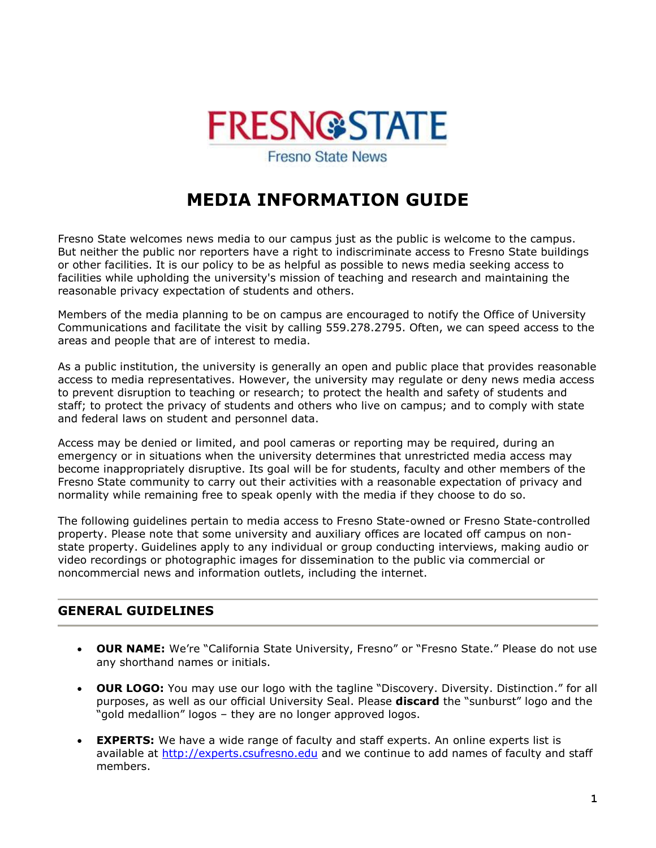

**Fresno State News** 

# **MEDIA INFORMATION GUIDE**

Fresno State welcomes news media to our campus just as the public is welcome to the campus. But neither the public nor reporters have a right to indiscriminate access to Fresno State buildings or other facilities. It is our policy to be as helpful as possible to news media seeking access to facilities while upholding the university's mission of teaching and research and maintaining the reasonable privacy expectation of students and others.

Members of the media planning to be on campus are encouraged to notify the Office of University Communications and facilitate the visit by calling 559.278.2795. Often, we can speed access to the areas and people that are of interest to media.

As a public institution, the university is generally an open and public place that provides reasonable access to media representatives. However, the university may regulate or deny news media access to prevent disruption to teaching or research; to protect the health and safety of students and staff; to protect the privacy of students and others who live on campus; and to comply with state and federal laws on student and personnel data.

Access may be denied or limited, and pool cameras or reporting may be required, during an emergency or in situations when the university determines that unrestricted media access may become inappropriately disruptive. Its goal will be for students, faculty and other members of the Fresno State community to carry out their activities with a reasonable expectation of privacy and normality while remaining free to speak openly with the media if they choose to do so.

The following guidelines pertain to media access to Fresno State-owned or Fresno State-controlled property. Please note that some university and auxiliary offices are located off campus on nonstate property. Guidelines apply to any individual or group conducting interviews, making audio or video recordings or photographic images for dissemination to the public via commercial or noncommercial news and information outlets, including the internet.

## **GENERAL GUIDELINES**

- **OUR NAME:** We're "California State University, Fresno" or "Fresno State." Please do not use any shorthand names or initials.
- **OUR LOGO:** You may use our logo with the tagline "Discovery. Diversity. Distinction." for all purposes, as well as our official University Seal. Please **discard** the "sunburst" logo and the "gold medallion" logos – they are no longer approved logos.
- **EXPERTS:** We have a wide range of faculty and staff experts. An online experts list is available at [http://experts.csufresno.edu](http://experts.csufresno.edu/) and we continue to add names of faculty and staff members.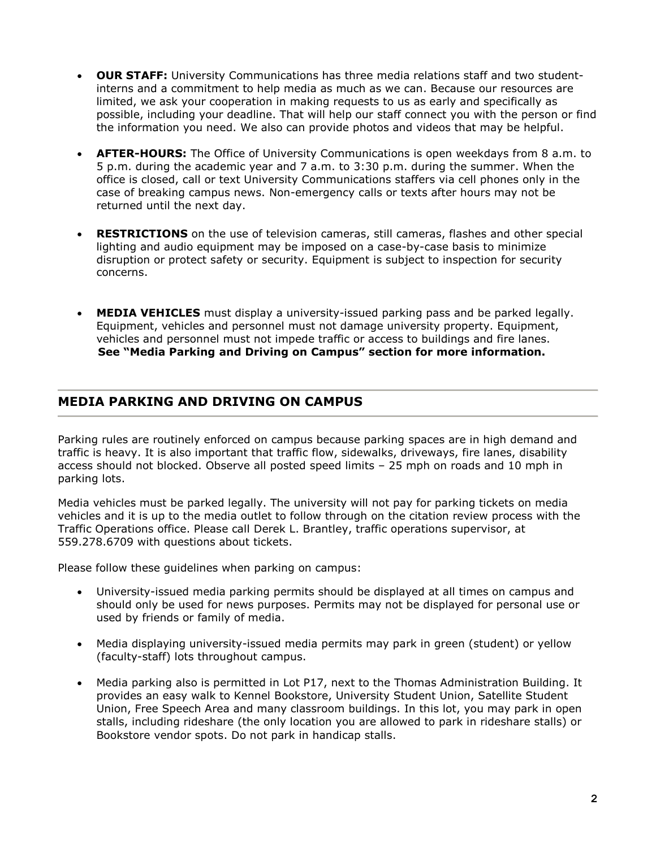- **OUR STAFF:** University Communications has three media relations staff and two studentinterns and a commitment to help media as much as we can. Because our resources are limited, we ask your cooperation in making requests to us as early and specifically as possible, including your deadline. That will help our staff connect you with the person or find the information you need. We also can provide photos and videos that may be helpful.
- **AFTER-HOURS:** The Office of University Communications is open weekdays from 8 a.m. to 5 p.m. during the academic year and 7 a.m. to 3:30 p.m. during the summer. When the office is closed, call or text University Communications staffers via cell phones only in the case of breaking campus news. Non-emergency calls or texts after hours may not be returned until the next day.
- **RESTRICTIONS** on the use of television cameras, still cameras, flashes and other special lighting and audio equipment may be imposed on a case-by-case basis to minimize disruption or protect safety or security. Equipment is subject to inspection for security concerns.
- **MEDIA VEHICLES** must display a university-issued parking pass and be parked legally. Equipment, vehicles and personnel must not damage university property. Equipment, vehicles and personnel must not impede traffic or access to buildings and fire lanes.  **See "Media Parking and Driving on Campus" section for more information.**

# **MEDIA PARKING AND DRIVING ON CAMPUS**

Parking rules are routinely enforced on campus because parking spaces are in high demand and traffic is heavy. It is also important that traffic flow, sidewalks, driveways, fire lanes, disability access should not blocked. Observe all posted speed limits – 25 mph on roads and 10 mph in parking lots.

Media vehicles must be parked legally. The university will not pay for parking tickets on media vehicles and it is up to the media outlet to follow through on the citation review process with the Traffic Operations office. Please call Derek L. Brantley, traffic operations supervisor, at 559.278.6709 with questions about tickets.

Please follow these guidelines when parking on campus:

- University-issued media parking permits should be displayed at all times on campus and should only be used for news purposes. Permits may not be displayed for personal use or used by friends or family of media.
- Media displaying university-issued media permits may park in green (student) or yellow (faculty-staff) lots throughout campus.
- Media parking also is permitted in Lot P17, next to the Thomas Administration Building. It provides an easy walk to Kennel Bookstore, University Student Union, Satellite Student Union, Free Speech Area and many classroom buildings. In this lot, you may park in open stalls, including rideshare (the only location you are allowed to park in rideshare stalls) or Bookstore vendor spots. Do not park in handicap stalls.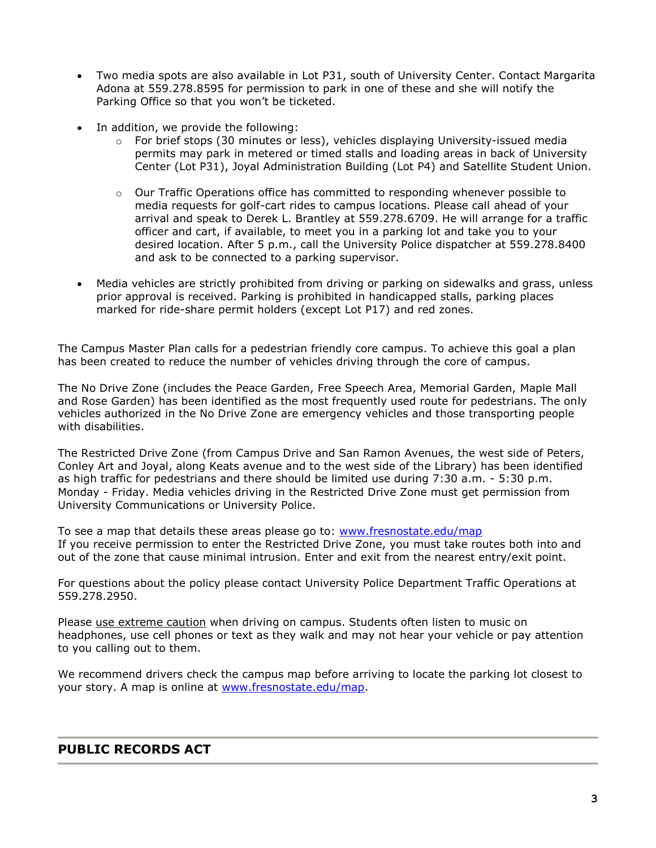- Two media spots are also available in Lot P31, south of University Center. Contact Margarita Adona at 559.278.8595 for permission to park in one of these and she will notify the Parking Office so that you won't be ticketed.
- In addition, we provide the following:
	- $\circ$  For brief stops (30 minutes or less), vehicles displaying University-issued media permits may park in metered or timed stalls and loading areas in back of University Center (Lot P31), Joyal Administration Building (Lot P4) and Satellite Student Union.
	- $\circ$  Our Traffic Operations office has committed to responding whenever possible to media requests for golf-cart rides to campus locations. Please call ahead of your arrival and speak to Derek L. Brantley at 559.278.6709. He will arrange for a traffic officer and cart, if available, to meet you in a parking lot and take you to your desired location. After 5 p.m., call the University Police dispatcher at 559.278.8400 and ask to be connected to a parking supervisor.
- Media vehicles are strictly prohibited from driving or parking on sidewalks and grass, unless prior approval is received. Parking is prohibited in handicapped stalls, parking places marked for ride-share permit holders (except Lot P17) and red zones.

The Campus Master Plan calls for a pedestrian friendly core campus. To achieve this goal a plan has been created to reduce the number of vehicles driving through the core of campus.

The No Drive Zone (includes the Peace Garden, Free Speech Area, Memorial Garden, Maple Mall and Rose Garden) has been identified as the most frequently used route for pedestrians. The only vehicles authorized in the No Drive Zone are emergency vehicles and those transporting people with disabilities.

The Restricted Drive Zone (from Campus Drive and San Ramon Avenues, the west side of Peters, Conley Art and Joyal, along Keats avenue and to the west side of the Library) has been identified as high traffic for pedestrians and there should be limited use during 7:30 a.m. - 5:30 p.m. Monday - Friday. Media vehicles driving in the Restricted Drive Zone must get permission from University Communications or University Police.

To see a map that details these areas please go to: [www.fresnostate.edu/map](http://www.fresnostate.edu/map) If you receive permission to enter the Restricted Drive Zone, you must take routes both into and out of the zone that cause minimal intrusion. Enter and exit from the nearest entry/exit point.

For questions about the policy please contact University Police Department Traffic Operations at 559.278.2950.

Please use extreme caution when driving on campus. Students often listen to music on headphones, use cell phones or text as they walk and may not hear your vehicle or pay attention to you calling out to them.

We recommend drivers check the campus map before arriving to locate the parking lot closest to your story. A map is online at [www.fresnostate.edu/map.](http://www.csufresno.edu/map/)

## **PUBLIC RECORDS ACT**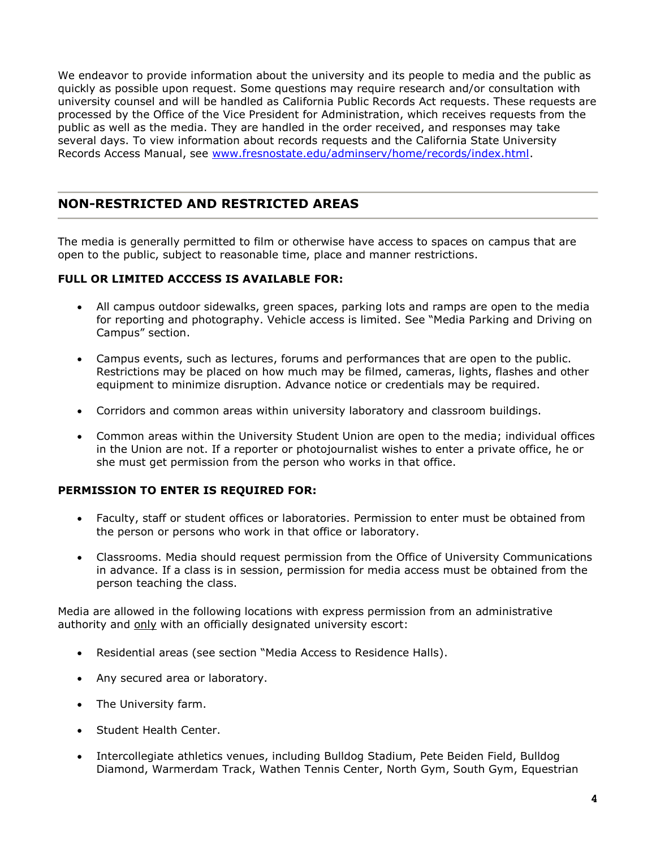We endeavor to provide information about the university and its people to media and the public as quickly as possible upon request. Some questions may require research and/or consultation with university counsel and will be handled as California Public Records Act requests. These requests are processed by the Office of the Vice President for Administration, which receives requests from the public as well as the media. They are handled in the order received, and responses may take several days. To view information about records requests and the California State University Records Access Manual, see [www.fresnostate.edu/adminserv/home/records/index.html.](http://www.fresnostate.edu/adminserv/home/records/index.html)

## **NON-RESTRICTED AND RESTRICTED AREAS**

The media is generally permitted to film or otherwise have access to spaces on campus that are open to the public, subject to reasonable time, place and manner restrictions.

#### **FULL OR LIMITED ACCCESS IS AVAILABLE FOR:**

- All campus outdoor sidewalks, green spaces, parking lots and ramps are open to the media for reporting and photography. Vehicle access is limited. See "Media Parking and Driving on Campus" section.
- Campus events, such as lectures, forums and performances that are open to the public. Restrictions may be placed on how much may be filmed, cameras, lights, flashes and other equipment to minimize disruption. Advance notice or credentials may be required.
- Corridors and common areas within university laboratory and classroom buildings.
- Common areas within the University Student Union are open to the media; individual offices in the Union are not. If a reporter or photojournalist wishes to enter a private office, he or she must get permission from the person who works in that office.

#### **PERMISSION TO ENTER IS REQUIRED FOR:**

- Faculty, staff or student offices or laboratories. Permission to enter must be obtained from the person or persons who work in that office or laboratory.
- Classrooms. Media should request permission from the Office of University Communications in advance. If a class is in session, permission for media access must be obtained from the person teaching the class.

Media are allowed in the following locations with express permission from an administrative authority and only with an officially designated university escort:

- Residential areas (see section "Media Access to Residence Halls).
- Any secured area or laboratory.
- The University farm.
- Student Health Center.
- Intercollegiate athletics venues, including Bulldog Stadium, Pete Beiden Field, Bulldog Diamond, Warmerdam Track, Wathen Tennis Center, North Gym, South Gym, Equestrian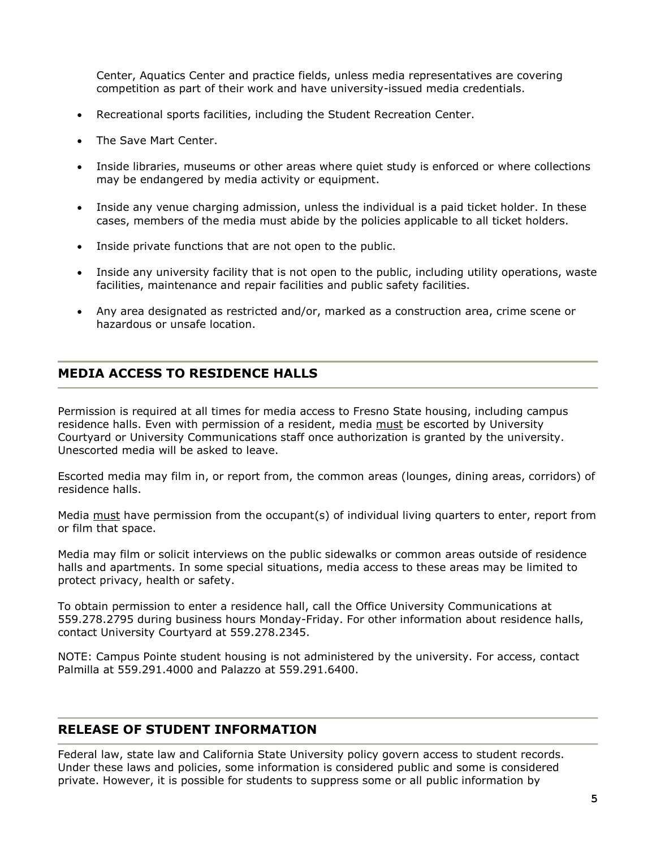Center, Aquatics Center and practice fields, unless media representatives are covering competition as part of their work and have university-issued media credentials.

- Recreational sports facilities, including the Student Recreation Center.
- The Save Mart Center.
- Inside libraries, museums or other areas where quiet study is enforced or where collections may be endangered by media activity or equipment.
- Inside any venue charging admission, unless the individual is a paid ticket holder. In these cases, members of the media must abide by the policies applicable to all ticket holders.
- Inside private functions that are not open to the public.
- Inside any university facility that is not open to the public, including utility operations, waste facilities, maintenance and repair facilities and public safety facilities.
- Any area designated as restricted and/or, marked as a construction area, crime scene or hazardous or unsafe location.

# **MEDIA ACCESS TO RESIDENCE HALLS**

Permission is required at all times for media access to Fresno State housing, including campus residence halls. Even with permission of a resident, media must be escorted by University Courtyard or University Communications staff once authorization is granted by the university. Unescorted media will be asked to leave.

Escorted media may film in, or report from, the common areas (lounges, dining areas, corridors) of residence halls.

Media must have permission from the occupant(s) of individual living quarters to enter, report from or film that space.

Media may film or solicit interviews on the public sidewalks or common areas outside of residence halls and apartments. In some special situations, media access to these areas may be limited to protect privacy, health or safety.

To obtain permission to enter a residence hall, call the Office University Communications at 559.278.2795 during business hours Monday-Friday. For other information about residence halls, contact University Courtyard at 559.278.2345.

NOTE: Campus Pointe student housing is not administered by the university. For access, contact Palmilla at 559.291.4000 and Palazzo at 559.291.6400.

#### **RELEASE OF STUDENT INFORMATION**

Federal law, state law and California State University policy govern access to student records. Under these laws and policies, some information is considered public and some is considered private. However, it is possible for students to suppress some or all public information by